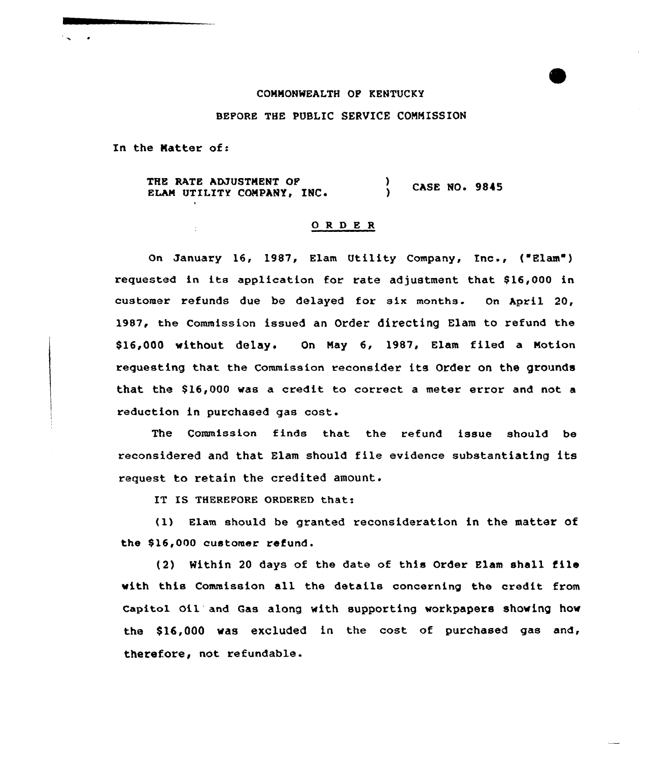## COMNONWEALTH OP KENTUCKY

## BEFORE THE PUBLIC SERVICE COMMISSION

In the Natter of:

THE RATE ADJUSTNENT OF ELAM UTILITY COMPANY, INC.  $\left\{\right\}$  CASE NO. 9845

## ORDER

On January 16, 1987, Elam Utility Company, Inc., ('Elam') requested in its application for rate adjustment that \$16,000 in customer refunds due be delayed for six months. On April 20, 1987, the Commission issued an Order directing Elam to refund the \$16,000 withOut delay. On May 6, 1987, Elam filed a Notion requesting that the Commission reconsider its Order on the grounds that the \$16,000 was a credit to correct a meter error and not a reduction in purchased gas cost.

The Commission finds that the refund issue should be reconsidered and that Elam should file evidence substantiating its request to retain the credited amount.

IT IS THEREFORE ORDERED that:

(1) slam should be granted reconsideration in the matter of the \$16,000 customer refund.

(2) Within <sup>20</sup> days of the date of this Order Elam shall file with this Commission all the details concerning the credit from capitol oil and Gas along with supporting workpapers showing how the \$16,000 was excluded in the cost of purchased gas and, therefore, not refundable.